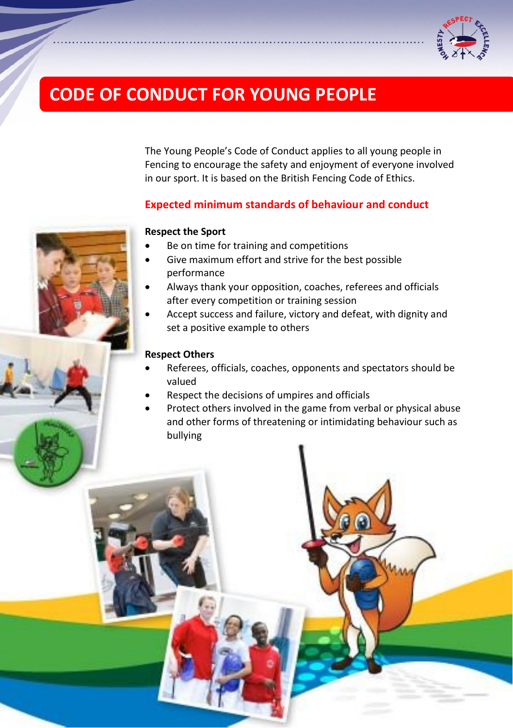

# **CODE OF CONDUCT FOR YOUNG PEOPLE**

The Young People's Code of Conduct applies to all young people in Fencing to encourage the safety and enjoyment of everyone involved in our sport. It is based on the British Fencing Code of Ethics.

# **Expected minimum standards of behaviour and conduct**

## **Respect the Sport**

- Be on time for training and competitions
- Give maximum effort and strive for the best possible performance
- Always thank your opposition, coaches, referees and officials after every competition or training session
- Accept success and failure, victory and defeat, with dignity and set a positive example to others

## **Respect Others**

- Referees, officials, coaches, opponents and spectators should be valued
- Respect the decisions of umpires and officials
- Protect others involved in the game from verbal or physical abuse and other forms of threatening or intimidating behaviour such as bullying